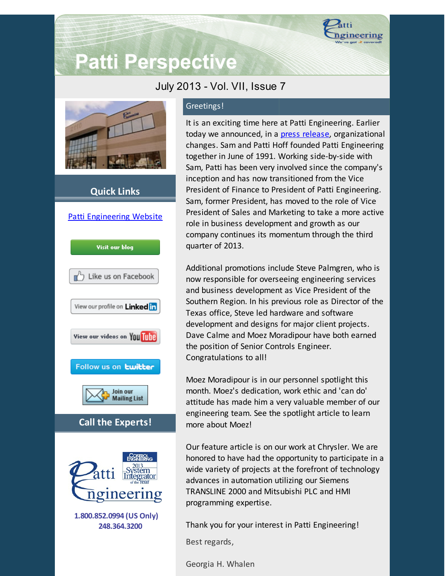

# **Patti Perspective**

## July 2013 - Vol. VII, Issue 7



### **Quick Links**



#### Greetings!

It is an exciting time here at Patti Engineering. Earlier today we announced, in a press [release](http://www.pattieng.com/blog-news/blog/patti-engineering-reinvigorates-executive-team-with-patti-hoffs-promotion-to-president/?utm_source=Patti+Perspective+July+2013&utm_campaign=Patti+Perspective+7_2013&utm_medium=email), organizational changes. Sam and Patti Hoff founded Patti Engineering together in June of 1991. Working side-by-side with Sam, Patti has been very involved since the company's inception and has now transitioned from the Vice President of Finance to President of Patti Engineering. Sam, former President, has moved to the role of Vice President of Sales and Marketing to take a more active role in business development and growth as our company continues its momentum through the third quarter of 2013.

Additional promotions include Steve Palmgren, who is now responsible for overseeing engineering services and business development as Vice President of the Southern Region. In his previous role as Director of the Texas office, Steve led hardware and software development and designs for major client projects. Dave Calme and Moez Moradipour have both earned the position of Senior Controls Engineer. Congratulations to all!

Moez Moradipour is in our personnel spotlight this month. Moez's dedication, work ethic and 'can do' attitude has made him a very valuable member of our engineering team. See the spotlight article to learn more about Moez!

Our feature article is on our work at Chrysler. We are honored to have had the opportunity to participate in a wide variety of projects at the forefront of technology advances in automation utilizing our Siemens TRANSLINE 2000 and Mitsubishi PLC and HMI programming expertise.

Thank you for your interest in Patti Engineering!

Best regards,

Georgia H. Whalen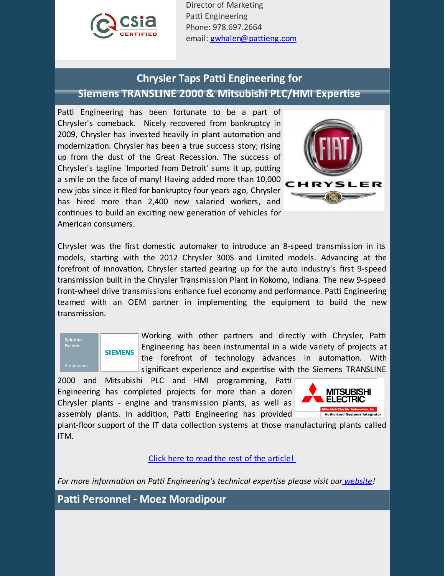

Director of Marketing Patti Engineering Phone: 978.697.2664 email: [gwhalen@pattieng.com](mailto:gwhalen@pattieng.com)

## **Chrysler Taps Patti Engineering for Siemens TRANSLINE 2000 & Mitsubishi PLC/HMI Expertise**

Patti Engineering has been fortunate to be a part of Chrysler's comeback. Nicely recovered from bankruptcy in 2009, Chrysler has invested heavily in plant automation and modernization. Chrysler has been a true success story; rising up from the dust of the Great Recession. The success of Chrysler's tagline 'Imported from Detroit' sums it up, putting a smile on the face of many! Having added more than 10,000 new jobs since it filed for bankruptcy four years ago, Chrysler has hired more than 2,400 new salaried workers, and continues to build an exciting new generation of vehicles for American consumers.



Chrysler was the first domestic automaker to introduce an 8-speed transmission in its models, starting with the 2012 Chrysler 300S and Limited models. Advancing at the forefront of innovation, Chrysler started gearing up for the auto industry's first 9-speed transmission built in the Chrysler Transmission Plant in Kokomo, Indiana. The new 9-speed front-wheel drive transmissions enhance fuel economy and performance. Patti Engineering teamed with an OEM partner in implementing the equipment to build the new transmission.



Working with other partners and directly with Chrysler, Patti Engineering has been instrumental in a wide variety of projects at the forefront of technology advances in automation. With significant experience and expertise with the Siemens TRANSLINE

2000 and Mitsubishi PLC and HMI programming, Patti Engineering has completed projects for more than a dozen Chrysler plants - engine and transmission plants, as well as assembly plants. In addition, Patti Engineering has provided



plant-floor support of the IT data collection systems at those manufacturing plants called ITM.

Click here to read the rest of the [article!](http://library.constantcontact.com/doc205/1101449641109/doc/wIDMLOQcQXXzdS3S.pdf)

*For more information on Patti Engineering's technical expertise please visit our [website](http://www.pattieng.com/expertise.html?utm_source=Patti+Perspective+July+2013&utm_campaign=Patti+Perspective+7_2013&utm_medium=email)!*

**Patti Personnel - Moez Moradipour**